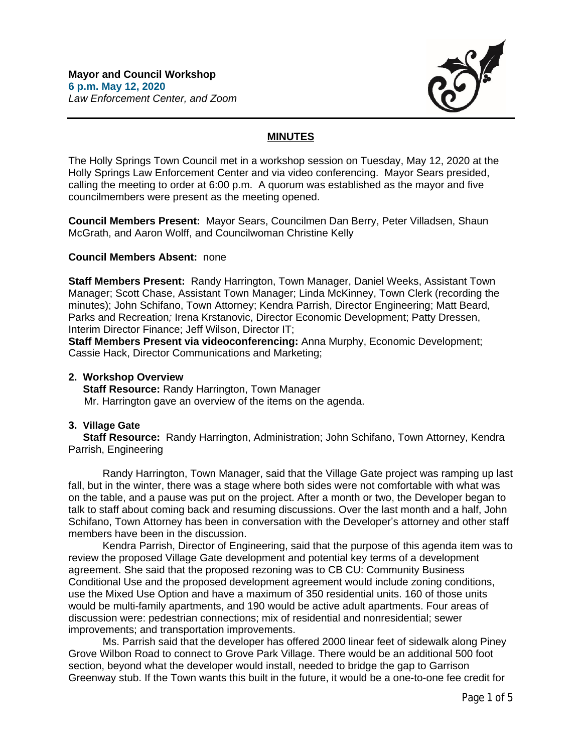

# **MINUTES**

The Holly Springs Town Council met in a workshop session on Tuesday, May 12, 2020 at the Holly Springs Law Enforcement Center and via video conferencing. Mayor Sears presided, calling the meeting to order at 6:00 p.m. A quorum was established as the mayor and five councilmembers were present as the meeting opened.

**Council Members Present:** Mayor Sears, Councilmen Dan Berry, Peter Villadsen, Shaun McGrath, and Aaron Wolff, and Councilwoman Christine Kelly

## **Council Members Absent:** none

**Staff Members Present:** Randy Harrington, Town Manager, Daniel Weeks, Assistant Town Manager; Scott Chase, Assistant Town Manager; Linda McKinney, Town Clerk (recording the minutes); John Schifano, Town Attorney; Kendra Parrish, Director Engineering; Matt Beard, Parks and Recreation*;* Irena Krstanovic, Director Economic Development; Patty Dressen, Interim Director Finance; Jeff Wilson, Director IT;

**Staff Members Present via videoconferencing:** Anna Murphy, Economic Development; Cassie Hack, Director Communications and Marketing;

### **2. Workshop Overview**

 **Staff Resource:** Randy Harrington, Town Manager Mr. Harrington gave an overview of the items on the agenda.

# **3. Village Gate**

 **Staff Resource:** Randy Harrington, Administration; John Schifano, Town Attorney, Kendra Parrish, Engineering

Randy Harrington, Town Manager, said that the Village Gate project was ramping up last fall, but in the winter, there was a stage where both sides were not comfortable with what was on the table, and a pause was put on the project. After a month or two, the Developer began to talk to staff about coming back and resuming discussions. Over the last month and a half, John Schifano, Town Attorney has been in conversation with the Developer's attorney and other staff members have been in the discussion.

Kendra Parrish, Director of Engineering, said that the purpose of this agenda item was to review the proposed Village Gate development and potential key terms of a development agreement. She said that the proposed rezoning was to CB CU: Community Business Conditional Use and the proposed development agreement would include zoning conditions, use the Mixed Use Option and have a maximum of 350 residential units. 160 of those units would be multi-family apartments, and 190 would be active adult apartments. Four areas of discussion were: pedestrian connections; mix of residential and nonresidential; sewer improvements; and transportation improvements.

Ms. Parrish said that the developer has offered 2000 linear feet of sidewalk along Piney Grove Wilbon Road to connect to Grove Park Village. There would be an additional 500 foot section, beyond what the developer would install, needed to bridge the gap to Garrison Greenway stub. If the Town wants this built in the future, it would be a one-to-one fee credit for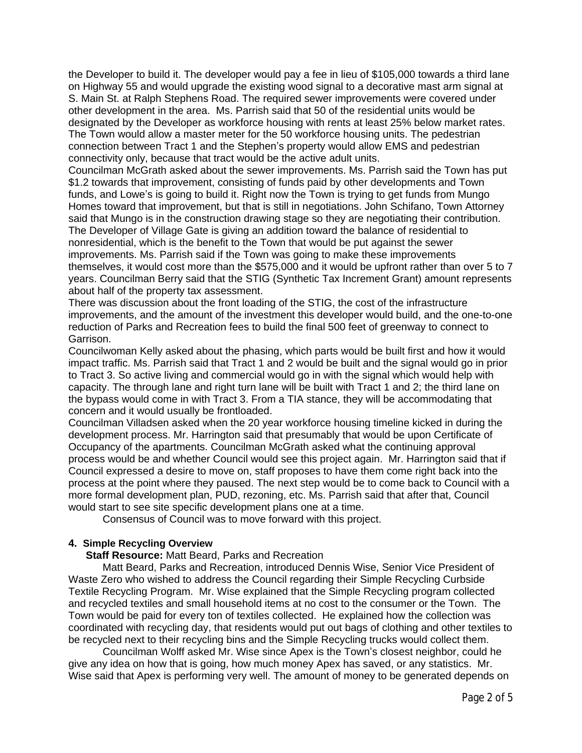the Developer to build it. The developer would pay a fee in lieu of \$105,000 towards a third lane on Highway 55 and would upgrade the existing wood signal to a decorative mast arm signal at S. Main St. at Ralph Stephens Road. The required sewer improvements were covered under other development in the area. Ms. Parrish said that 50 of the residential units would be designated by the Developer as workforce housing with rents at least 25% below market rates. The Town would allow a master meter for the 50 workforce housing units. The pedestrian connection between Tract 1 and the Stephen's property would allow EMS and pedestrian connectivity only, because that tract would be the active adult units.

Councilman McGrath asked about the sewer improvements. Ms. Parrish said the Town has put \$1.2 towards that improvement, consisting of funds paid by other developments and Town funds, and Lowe's is going to build it. Right now the Town is trying to get funds from Mungo Homes toward that improvement, but that is still in negotiations. John Schifano, Town Attorney said that Mungo is in the construction drawing stage so they are negotiating their contribution. The Developer of Village Gate is giving an addition toward the balance of residential to nonresidential, which is the benefit to the Town that would be put against the sewer improvements. Ms. Parrish said if the Town was going to make these improvements themselves, it would cost more than the \$575,000 and it would be upfront rather than over 5 to 7 years. Councilman Berry said that the STIG (Synthetic Tax Increment Grant) amount represents about half of the property tax assessment.

There was discussion about the front loading of the STIG, the cost of the infrastructure improvements, and the amount of the investment this developer would build, and the one-to-one reduction of Parks and Recreation fees to build the final 500 feet of greenway to connect to Garrison.

Councilwoman Kelly asked about the phasing, which parts would be built first and how it would impact traffic. Ms. Parrish said that Tract 1 and 2 would be built and the signal would go in prior to Tract 3. So active living and commercial would go in with the signal which would help with capacity. The through lane and right turn lane will be built with Tract 1 and 2; the third lane on the bypass would come in with Tract 3. From a TIA stance, they will be accommodating that concern and it would usually be frontloaded.

Councilman Villadsen asked when the 20 year workforce housing timeline kicked in during the development process. Mr. Harrington said that presumably that would be upon Certificate of Occupancy of the apartments. Councilman McGrath asked what the continuing approval process would be and whether Council would see this project again. Mr. Harrington said that if Council expressed a desire to move on, staff proposes to have them come right back into the process at the point where they paused. The next step would be to come back to Council with a more formal development plan, PUD, rezoning, etc. Ms. Parrish said that after that, Council would start to see site specific development plans one at a time.

Consensus of Council was to move forward with this project.

## **4. Simple Recycling Overview**

### **Staff Resource:** Matt Beard, Parks and Recreation

Matt Beard, Parks and Recreation, introduced Dennis Wise, Senior Vice President of Waste Zero who wished to address the Council regarding their Simple Recycling Curbside Textile Recycling Program. Mr. Wise explained that the Simple Recycling program collected and recycled textiles and small household items at no cost to the consumer or the Town. The Town would be paid for every ton of textiles collected. He explained how the collection was coordinated with recycling day, that residents would put out bags of clothing and other textiles to be recycled next to their recycling bins and the Simple Recycling trucks would collect them.

Councilman Wolff asked Mr. Wise since Apex is the Town's closest neighbor, could he give any idea on how that is going, how much money Apex has saved, or any statistics. Mr. Wise said that Apex is performing very well. The amount of money to be generated depends on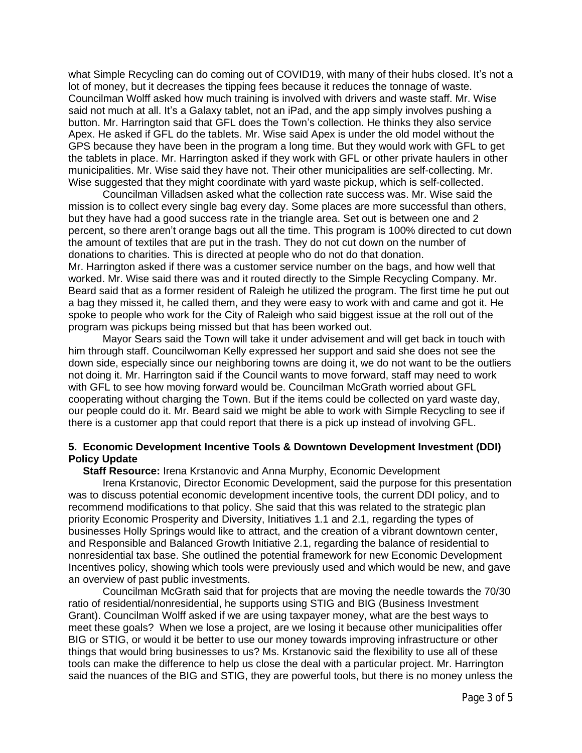what Simple Recycling can do coming out of COVID19, with many of their hubs closed. It's not a lot of money, but it decreases the tipping fees because it reduces the tonnage of waste. Councilman Wolff asked how much training is involved with drivers and waste staff. Mr. Wise said not much at all. It's a Galaxy tablet, not an iPad, and the app simply involves pushing a button. Mr. Harrington said that GFL does the Town's collection. He thinks they also service Apex. He asked if GFL do the tablets. Mr. Wise said Apex is under the old model without the GPS because they have been in the program a long time. But they would work with GFL to get the tablets in place. Mr. Harrington asked if they work with GFL or other private haulers in other municipalities. Mr. Wise said they have not. Their other municipalities are self-collecting. Mr. Wise suggested that they might coordinate with yard waste pickup, which is self-collected.

Councilman Villadsen asked what the collection rate success was. Mr. Wise said the mission is to collect every single bag every day. Some places are more successful than others, but they have had a good success rate in the triangle area. Set out is between one and 2 percent, so there aren't orange bags out all the time. This program is 100% directed to cut down the amount of textiles that are put in the trash. They do not cut down on the number of donations to charities. This is directed at people who do not do that donation. Mr. Harrington asked if there was a customer service number on the bags, and how well that

worked. Mr. Wise said there was and it routed directly to the Simple Recycling Company. Mr. Beard said that as a former resident of Raleigh he utilized the program. The first time he put out a bag they missed it, he called them, and they were easy to work with and came and got it. He spoke to people who work for the City of Raleigh who said biggest issue at the roll out of the program was pickups being missed but that has been worked out.

Mayor Sears said the Town will take it under advisement and will get back in touch with him through staff. Councilwoman Kelly expressed her support and said she does not see the down side, especially since our neighboring towns are doing it, we do not want to be the outliers not doing it. Mr. Harrington said if the Council wants to move forward, staff may need to work with GFL to see how moving forward would be. Councilman McGrath worried about GFL cooperating without charging the Town. But if the items could be collected on yard waste day, our people could do it. Mr. Beard said we might be able to work with Simple Recycling to see if there is a customer app that could report that there is a pick up instead of involving GFL.

## **5. Economic Development Incentive Tools & Downtown Development Investment (DDI) Policy Update**

 **Staff Resource:** Irena Krstanovic and Anna Murphy, Economic Development

Irena Krstanovic, Director Economic Development, said the purpose for this presentation was to discuss potential economic development incentive tools, the current DDI policy, and to recommend modifications to that policy. She said that this was related to the strategic plan priority Economic Prosperity and Diversity, Initiatives 1.1 and 2.1, regarding the types of businesses Holly Springs would like to attract, and the creation of a vibrant downtown center, and Responsible and Balanced Growth Initiative 2.1, regarding the balance of residential to nonresidential tax base. She outlined the potential framework for new Economic Development Incentives policy, showing which tools were previously used and which would be new, and gave an overview of past public investments.

Councilman McGrath said that for projects that are moving the needle towards the 70/30 ratio of residential/nonresidential, he supports using STIG and BIG (Business Investment Grant). Councilman Wolff asked if we are using taxpayer money, what are the best ways to meet these goals? When we lose a project, are we losing it because other municipalities offer BIG or STIG, or would it be better to use our money towards improving infrastructure or other things that would bring businesses to us? Ms. Krstanovic said the flexibility to use all of these tools can make the difference to help us close the deal with a particular project. Mr. Harrington said the nuances of the BIG and STIG, they are powerful tools, but there is no money unless the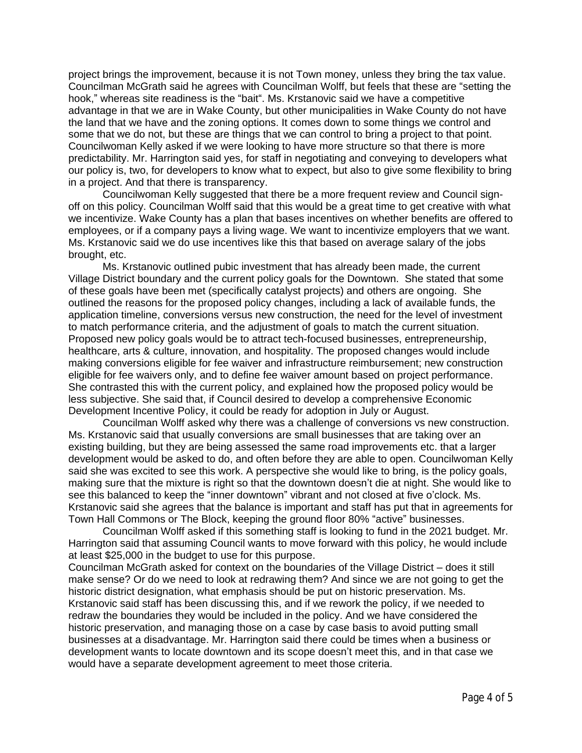project brings the improvement, because it is not Town money, unless they bring the tax value. Councilman McGrath said he agrees with Councilman Wolff, but feels that these are "setting the hook," whereas site readiness is the "bait". Ms. Krstanovic said we have a competitive advantage in that we are in Wake County, but other municipalities in Wake County do not have the land that we have and the zoning options. It comes down to some things we control and some that we do not, but these are things that we can control to bring a project to that point. Councilwoman Kelly asked if we were looking to have more structure so that there is more predictability. Mr. Harrington said yes, for staff in negotiating and conveying to developers what our policy is, two, for developers to know what to expect, but also to give some flexibility to bring in a project. And that there is transparency.

Councilwoman Kelly suggested that there be a more frequent review and Council signoff on this policy. Councilman Wolff said that this would be a great time to get creative with what we incentivize. Wake County has a plan that bases incentives on whether benefits are offered to employees, or if a company pays a living wage. We want to incentivize employers that we want. Ms. Krstanovic said we do use incentives like this that based on average salary of the jobs brought, etc.

Ms. Krstanovic outlined pubic investment that has already been made, the current Village District boundary and the current policy goals for the Downtown. She stated that some of these goals have been met (specifically catalyst projects) and others are ongoing. She outlined the reasons for the proposed policy changes, including a lack of available funds, the application timeline, conversions versus new construction, the need for the level of investment to match performance criteria, and the adjustment of goals to match the current situation. Proposed new policy goals would be to attract tech-focused businesses, entrepreneurship, healthcare, arts & culture, innovation, and hospitality. The proposed changes would include making conversions eligible for fee waiver and infrastructure reimbursement; new construction eligible for fee waivers only, and to define fee waiver amount based on project performance. She contrasted this with the current policy, and explained how the proposed policy would be less subjective. She said that, if Council desired to develop a comprehensive Economic Development Incentive Policy, it could be ready for adoption in July or August.

Councilman Wolff asked why there was a challenge of conversions vs new construction. Ms. Krstanovic said that usually conversions are small businesses that are taking over an existing building, but they are being assessed the same road improvements etc. that a larger development would be asked to do, and often before they are able to open. Councilwoman Kelly said she was excited to see this work. A perspective she would like to bring, is the policy goals, making sure that the mixture is right so that the downtown doesn't die at night. She would like to see this balanced to keep the "inner downtown" vibrant and not closed at five o'clock. Ms. Krstanovic said she agrees that the balance is important and staff has put that in agreements for Town Hall Commons or The Block, keeping the ground floor 80% "active" businesses.

Councilman Wolff asked if this something staff is looking to fund in the 2021 budget. Mr. Harrington said that assuming Council wants to move forward with this policy, he would include at least \$25,000 in the budget to use for this purpose.

Councilman McGrath asked for context on the boundaries of the Village District – does it still make sense? Or do we need to look at redrawing them? And since we are not going to get the historic district designation, what emphasis should be put on historic preservation. Ms. Krstanovic said staff has been discussing this, and if we rework the policy, if we needed to redraw the boundaries they would be included in the policy. And we have considered the historic preservation, and managing those on a case by case basis to avoid putting small businesses at a disadvantage. Mr. Harrington said there could be times when a business or development wants to locate downtown and its scope doesn't meet this, and in that case we would have a separate development agreement to meet those criteria.